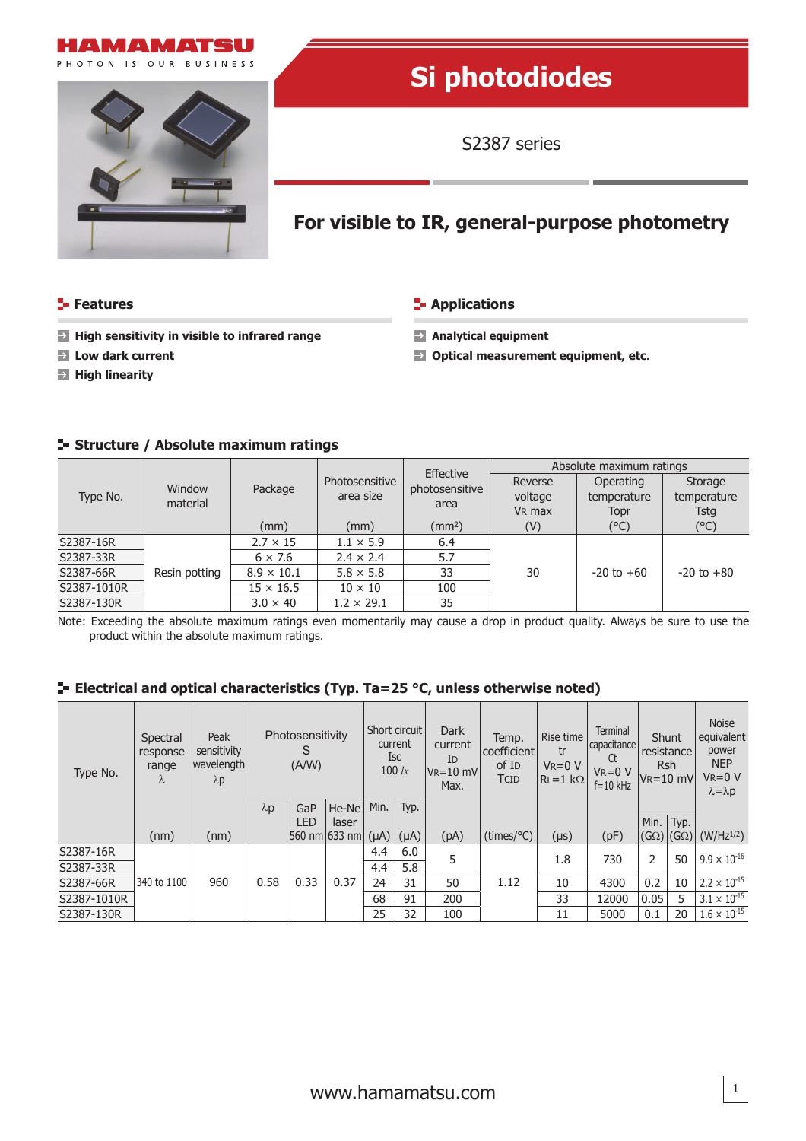



# **Si photodiodes**

S2387 series

## **For visible to IR, general-purpose photometry**

### **Features Applications CONSIDERENT INCORRECT IN APPLICATIONS**

- **High sensitivity in visible to infrared range Analytical equipment**
- 
- **High linearity**
- 
- **Low dark current Optical measurement equipment, etc.**

| Type No.    | Window<br>material | Package                               | Photosensitive<br>area size | Effective      | Absolute maximum ratings |                |                        |  |  |
|-------------|--------------------|---------------------------------------|-----------------------------|----------------|--------------------------|----------------|------------------------|--|--|
|             |                    |                                       |                             | photosensitive | Reverse                  | Operating      | Storage<br>temperature |  |  |
|             |                    |                                       |                             | area           | voltage                  | temperature    |                        |  |  |
|             |                    |                                       |                             |                | V <sub>R</sub> max       | Topr           | <b>Tstg</b>            |  |  |
|             |                    | (mm)                                  | (mm)                        | $\text{(mm2)}$ | (V)                      | (°C)           | (°C)                   |  |  |
| S2387-16R   |                    | $2.7 \times 15$                       | $1.1 \times 5.9$            | 6.4            |                          |                |                        |  |  |
| S2387-33R   |                    | $6 \times 7.6$                        | $2.4 \times 2.4$            | 5.7            |                          |                |                        |  |  |
| S2387-66R   | Resin potting      | $8.9 \times 10.1$<br>$5.8 \times 5.8$ |                             | 33             | 30                       | $-20$ to $+60$ | $-20$ to $+80$         |  |  |
| S2387-1010R |                    | $15 \times 16.5$                      | $10 \times 10$              | 100            |                          |                |                        |  |  |
| S2387-130R  |                    | $3.0 \times 40$                       | $1.2 \times 29.1$           | 35             |                          |                |                        |  |  |

### **Structure / Absolute maximum ratings**

Note: Exceeding the absolute maximum ratings even momentarily may cause a drop in product quality. Always be sure to use the product within the absolute maximum ratings.

### **E-** Electrical and optical characteristics (Typ. Ta=25 °C, unless otherwise noted)

| Type No.    | Spectral<br>response<br>range<br>λ | Peak<br>sensitivity<br>wavelength<br>$\lambda p$ | Photosensitivity<br>S<br>(A/W) |            | Short circuit<br>current<br>Isc<br>$100 \;$ $\alpha$ |           | Dark<br>current<br>ID<br>$V_{R} = 10$ mV<br>Max. | Temp.<br>coefficient<br>of I <sub>D</sub><br>TCID | Rise time<br>tr<br>$V_R = 0 V$<br>$RL=1 k\Omega$ | Terminal<br>capacitance<br>Ct<br>$V_R = 0 V$<br>$f = 10$ kHz | Shunt<br>resistance<br><b>Rsh</b><br>$V_R = 10$ mV |             | <b>Noise</b><br>equivalent<br>power<br><b>NEP</b><br>$V_R = 0 V$<br>$\lambda = \lambda p$ |                       |
|-------------|------------------------------------|--------------------------------------------------|--------------------------------|------------|------------------------------------------------------|-----------|--------------------------------------------------|---------------------------------------------------|--------------------------------------------------|--------------------------------------------------------------|----------------------------------------------------|-------------|-------------------------------------------------------------------------------------------|-----------------------|
|             |                                    |                                                  | $\lambda p$                    | GaP        | He-Ne                                                | Min.      | Typ.                                             |                                                   |                                                  |                                                              |                                                    |             |                                                                                           |                       |
|             |                                    |                                                  |                                | <b>LED</b> | laser                                                |           |                                                  |                                                   |                                                  |                                                              |                                                    | Min.   Typ. |                                                                                           |                       |
|             | (nm)                               | (nm)                                             |                                |            | 560 nm 633 nm                                        | $(\mu A)$ | $(\mu A)$                                        | (pA)                                              | (times/°C)                                       | (µs)                                                         | (pF)                                               | $(G\Omega)$ | $(G\Omega)$                                                                               | $(W/Hz^{1/2})$        |
| S2387-16R   |                                    |                                                  |                                |            |                                                      | 4.4       | 6.0                                              | 5                                                 |                                                  | 1.8                                                          | 730                                                | 2           | 50                                                                                        | $9.9 \times 10^{-16}$ |
| S2387-33R   |                                    |                                                  |                                |            |                                                      | 4.4       | 5.8                                              |                                                   |                                                  |                                                              |                                                    |             |                                                                                           |                       |
| S2387-66R   | 340 to 1100                        | 960                                              | 0.58                           | 0.33       | 0.37                                                 | 24        | 31                                               | 50                                                | 1.12                                             | 10                                                           | 4300                                               | 0.2         | 10                                                                                        | $2.2 \times 10^{-15}$ |
| S2387-1010R |                                    |                                                  |                                |            |                                                      | 68        | 91                                               | 200                                               |                                                  | 33                                                           | 12000                                              | 0.05        | 5                                                                                         | $3.1 \times 10^{-15}$ |
| S2387-130R  |                                    |                                                  |                                |            |                                                      | 25        | 32                                               | 100                                               |                                                  | 11                                                           | 5000                                               | 0.1         | 20                                                                                        | $1.6 \times 10^{-15}$ |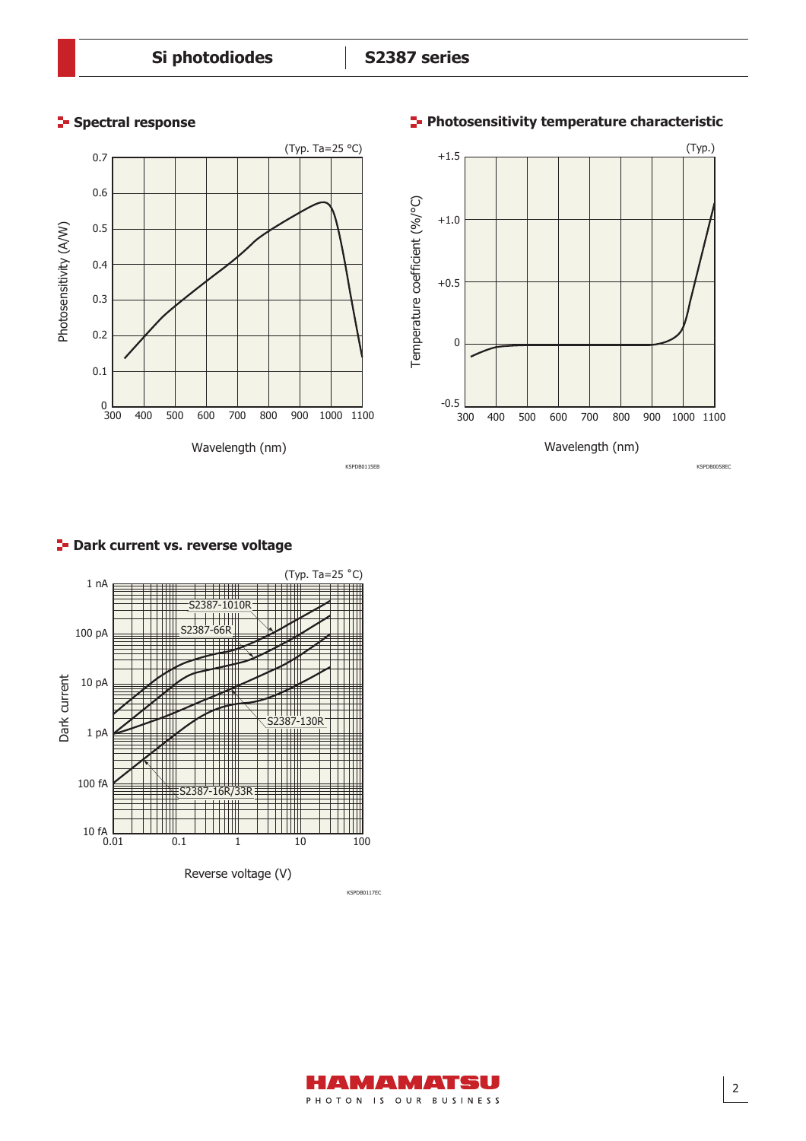

### **Spectral response Photosensitivity temperature characteristic**



### **P** Dark current vs. reverse voltage



KSPDB0117EC

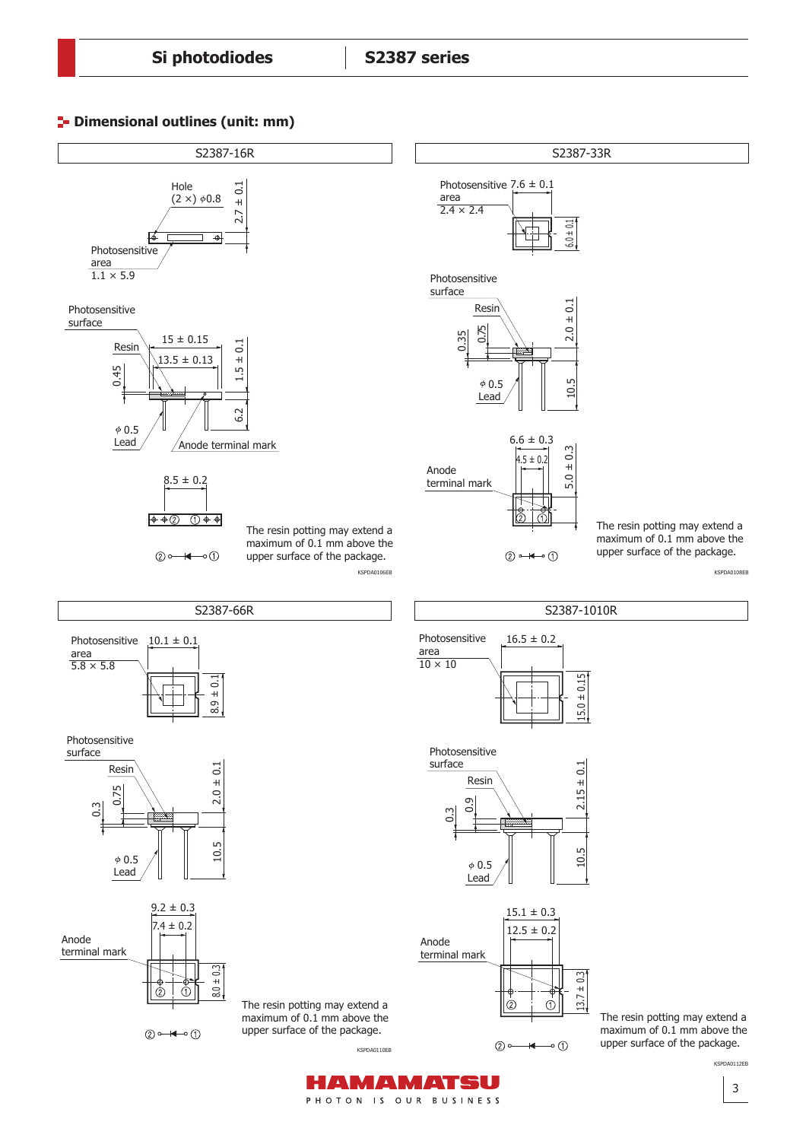



PHOTON IS OUR BUSINESS